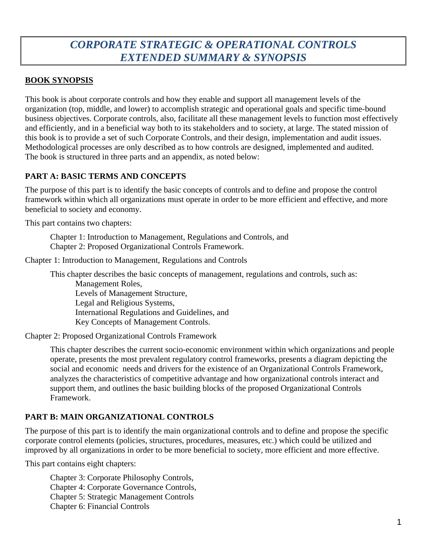# *CORPORATE STRATEGIC & OPERATIONAL CONTROLS EXTENDED SUMMARY & SYNOPSIS*

# **BOOK SYNOPSIS**

This book is about corporate controls and how they enable and support all management levels of the organization (top, middle, and lower) to accomplish strategic and operational goals and specific time-bound business objectives. Corporate controls, also, facilitate all these management levels to function most effectively and efficiently, and in a beneficial way both to its stakeholders and to society, at large. The stated mission of this book is to provide a set of such Corporate Controls, and their design, implementation and audit issues. Methodological processes are only described as to how controls are designed, implemented and audited. The book is structured in three parts and an appendix, as noted below:

# **PART A: BASIC TERMS AND CONCEPTS**

The purpose of this part is to identify the basic concepts of controls and to define and propose the control framework within which all organizations must operate in order to be more efficient and effective, and more beneficial to society and economy.

This part contains two chapters:

Chapter 1: Introduction to Management, Regulations and Controls, and Chapter 2: Proposed Organizational Controls Framework.

Chapter 1: Introduction to Management, Regulations and Controls

This chapter describes the basic concepts of management, regulations and controls, such as: Management Roles, Levels of Management Structure, Legal and Religious Systems, International Regulations and Guidelines, and Key Concepts of Management Controls.

Chapter 2: Proposed Organizational Controls Framework

This chapter describes the current socio-economic environment within which organizations and people operate, presents the most prevalent regulatory control frameworks, presents a diagram depicting the social and economic needs and drivers for the existence of an Organizational Controls Framework, analyzes the characteristics of competitive advantage and how organizational controls interact and support them, and outlines the basic building blocks of the proposed Organizational Controls Framework.

# **PART B: MAIN ORGANIZATIONAL CONTROLS**

The purpose of this part is to identify the main organizational controls and to define and propose the specific corporate control elements (policies, structures, procedures, measures, etc.) which could be utilized and improved by all organizations in order to be more beneficial to society, more efficient and more effective.

This part contains eight chapters:

Chapter 3: Corporate Philosophy Controls, Chapter 4: Corporate Governance Controls, Chapter 5: Strategic Management Controls Chapter 6: Financial Controls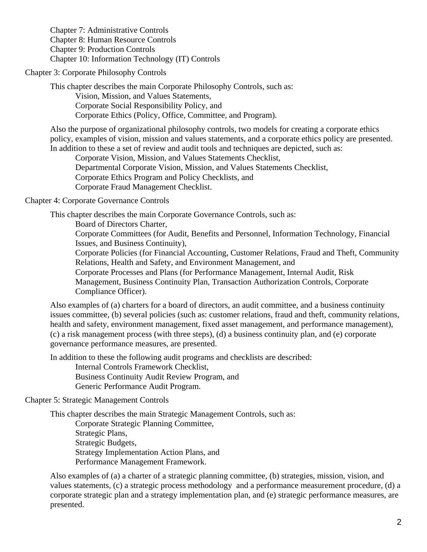Chapter 7: Administrative Controls Chapter 8: Human Resource Controls Chapter 9: Production Controls Chapter 10: Information Technology (IT) Controls

Chapter 3: Corporate Philosophy Controls

This chapter describes the main Corporate Philosophy Controls, such as: Vision, Mission, and Values Statements, Corporate Social Responsibility Policy, and Corporate Ethics (Policy, Office, Committee, and Program).

Also the purpose of organizational philosophy controls, two models for creating a corporate ethics policy, examples of vision, mission and values statements, and a corporate ethics policy are presented. In addition to these a set of review and audit tools and techniques are depicted, such as:

Corporate Vision, Mission, and Values Statements Checklist, Departmental Corporate Vision, Mission, and Values Statements Checklist, Corporate Ethics Program and Policy Checklists, and Corporate Fraud Management Checklist.

Chapter 4: Corporate Governance Controls

This chapter describes the main Corporate Governance Controls, such as:

Board of Directors Charter,

Corporate Committees (for Audit, Benefits and Personnel, Information Technology, Financial Issues, and Business Continuity),

Corporate Policies (for Financial Accounting, Customer Relations, Fraud and Theft, Community Relations, Health and Safety, and Environment Management, and

Corporate Processes and Plans (for Performance Management, Internal Audit, Risk Management, Business Continuity Plan, Transaction Authorization Controls, Corporate Compliance Officer).

Also examples of (a) charters for a board of directors, an audit committee, and a business continuity issues committee, (b) several policies (such as: customer relations, fraud and theft, community relations, health and safety, environment management, fixed asset management, and performance management), (c) a risk management process (with three steps), (d) a business continuity plan, and (e) corporate governance performance measures, are presented.

In addition to these the following audit programs and checklists are described:

Internal Controls Framework Checklist, Business Continuity Audit Review Program, and Generic Performance Audit Program.

# Chapter 5: Strategic Management Controls

This chapter describes the main Strategic Management Controls, such as:

Corporate Strategic Planning Committee, Strategic Plans, Strategic Budgets, Strategy Implementation Action Plans, and Performance Management Framework.

Also examples of (a) a charter of a strategic planning committee, (b) strategies, mission, vision, and values statements, (c) a strategic process methodology and a performance measurement procedure, (d) a corporate strategic plan and a strategy implementation plan, and (e) strategic performance measures, are presented.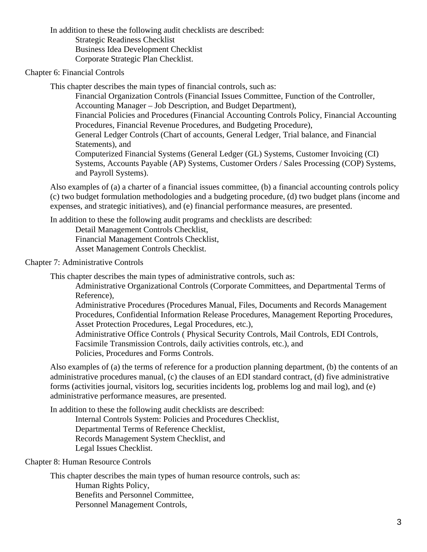In addition to these the following audit checklists are described: Strategic Readiness Checklist Business Idea Development Checklist Corporate Strategic Plan Checklist.

Chapter 6: Financial Controls

This chapter describes the main types of financial controls, such as:

Financial Organization Controls (Financial Issues Committee, Function of the Controller, Accounting Manager – Job Description, and Budget Department), Financial Policies and Procedures (Financial Accounting Controls Policy, Financial Accounting Procedures, Financial Revenue Procedures, and Budgeting Procedure), General Ledger Controls (Chart of accounts, General Ledger, Trial balance, and Financial Statements), and Computerized Financial Systems (General Ledger (GL) Systems, Customer Invoicing (CI) Systems, Accounts Payable (AP) Systems, Customer Orders / Sales Processing (COP) Systems, and Payroll Systems).

Also examples of (a) a charter of a financial issues committee, (b) a financial accounting controls policy (c) two budget formulation methodologies and a budgeting procedure, (d) two budget plans (income and expenses, and strategic initiatives), and (e) financial performance measures, are presented.

In addition to these the following audit programs and checklists are described:

Detail Management Controls Checklist, Financial Management Controls Checklist, Asset Management Controls Checklist.

# Chapter 7: Administrative Controls

This chapter describes the main types of administrative controls, such as:

Administrative Organizational Controls (Corporate Committees, and Departmental Terms of Reference),

Administrative Procedures (Procedures Manual, Files, Documents and Records Management Procedures, Confidential Information Release Procedures, Management Reporting Procedures, Asset Protection Procedures, Legal Procedures, etc.),

Administrative Office Controls ( Physical Security Controls, Mail Controls, EDI Controls, Facsimile Transmission Controls, daily activities controls, etc.), and Policies, Procedures and Forms Controls.

Also examples of (a) the terms of reference for a production planning department, (b) the contents of an administrative procedures manual, (c) the clauses of an EDI standard contract, (d) five administrative forms (activities journal, visitors log, securities incidents log, problems log and mail log), and (e) administrative performance measures, are presented.

In addition to these the following audit checklists are described: Internal Controls System: Policies and Procedures Checklist, Departmental Terms of Reference Checklist, Records Management System Checklist, and Legal Issues Checklist.

Chapter 8: Human Resource Controls

This chapter describes the main types of human resource controls, such as: Human Rights Policy, Benefits and Personnel Committee, Personnel Management Controls,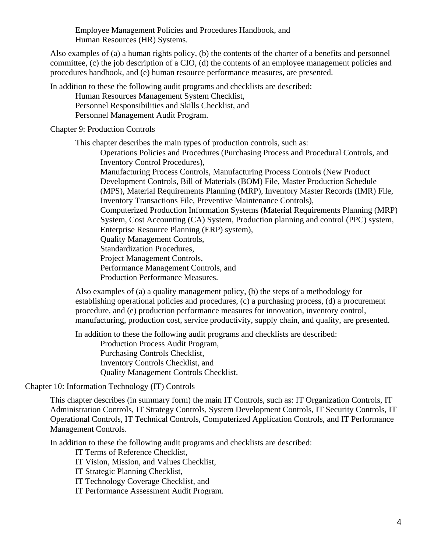Employee Management Policies and Procedures Handbook, and Human Resources (HR) Systems.

Also examples of (a) a human rights policy, (b) the contents of the charter of a benefits and personnel committee, (c) the job description of a CIO, (d) the contents of an employee management policies and procedures handbook, and (e) human resource performance measures, are presented.

In addition to these the following audit programs and checklists are described:

Human Resources Management System Checklist, Personnel Responsibilities and Skills Checklist, and Personnel Management Audit Program.

Chapter 9: Production Controls

This chapter describes the main types of production controls, such as:

Operations Policies and Procedures (Purchasing Process and Procedural Controls, and Inventory Control Procedures),

Manufacturing Process Controls, Manufacturing Process Controls (New Product Development Controls, Bill of Materials (BOM) File, Master Production Schedule (MPS), Material Requirements Planning (MRP), Inventory Master Records (IMR) File, Inventory Transactions File, Preventive Maintenance Controls),

Computerized Production Information Systems (Material Requirements Planning (MRP) System, Cost Accounting (CA) System, Production planning and control (PPC) system, Enterprise Resource Planning (ERP) system),

Quality Management Controls,

Standardization Procedures,

Project Management Controls,

Performance Management Controls, and

Production Performance Measures.

Also examples of (a) a quality management policy, (b) the steps of a methodology for establishing operational policies and procedures, (c) a purchasing process, (d) a procurement procedure, and (e) production performance measures for innovation, inventory control, manufacturing, production cost, service productivity, supply chain, and quality, are presented.

In addition to these the following audit programs and checklists are described:

Production Process Audit Program, Purchasing Controls Checklist, Inventory Controls Checklist, and Quality Management Controls Checklist.

Chapter 10: Information Technology (IT) Controls

This chapter describes (in summary form) the main IT Controls, such as: IT Organization Controls, IT Administration Controls, IT Strategy Controls, System Development Controls, IT Security Controls, IT Operational Controls, IT Technical Controls, Computerized Application Controls, and IT Performance Management Controls.

In addition to these the following audit programs and checklists are described:

IT Terms of Reference Checklist,

IT Vision, Mission, and Values Checklist,

IT Strategic Planning Checklist,

IT Technology Coverage Checklist, and

IT Performance Assessment Audit Program.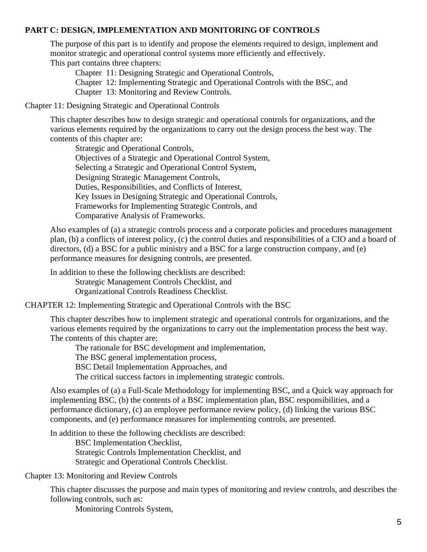# **PART C: DESIGN, IMPLEMENTATION AND MONITORING OF CONTROLS**

The purpose of this part is to identify and propose the elements required to design, implement and monitor strategic and operational control systems more efficiently and effectively. This part contains three chapters:

Chapter 11: Designing Strategic and Operational Controls,

Chapter 12: Implementing Strategic and Operational Controls with the BSC, and

Chapter 13: Monitoring and Review Controls.

Chapter 11: Designing Strategic and Operational Controls

This chapter describes how to design strategic and operational controls for organizations, and the various elements required by the organizations to carry out the design process the best way. The contents of this chapter are:

Strategic and Operational Controls, Objectives of a Strategic and Operational Control System, Selecting a Strategic and Operational Control System, Designing Strategic Management Controls, Duties, Responsibilities, and Conflicts of Interest, Key Issues in Designing Strategic and Operational Controls, Frameworks for Implementing Strategic Controls, and Comparative Analysis of Frameworks.

Also examples of (a) a strategic controls process and a corporate policies and procedures management plan, (b) a conflicts of interest policy, (c) the control duties and responsibilities of a CIO and a board of directors, (d) a BSC for a public ministry and a BSC for a large construction company, and (e) performance measures for designing controls, are presented.

In addition to these the following checklists are described: Strategic Management Controls Checklist, and Organizational Controls Readiness Checklist.

CHAPTER 12: Implementing Strategic and Operational Controls with the BSC

This chapter describes how to implement strategic and operational controls for organizations, and the various elements required by the organizations to carry out the implementation process the best way. The contents of this chapter are:

The rationale for BSC development and implementation,

The BSC general implementation process,

BSC Detail Implementation Approaches, and

The critical success factors in implementing strategic controls.

Also examples of (a) a Full-Scale Methodology for implementing BSC, and a Quick way approach for implementing BSC, (b) the contents of a BSC implementation plan, BSC responsibilities, and a performance dictionary, (c) an employee performance review policy, (d) linking the various BSC components, and (e) performance measures for implementing controls, are presented.

In addition to these the following checklists are described:

BSC Implementation Checklist, Strategic Controls Implementation Checklist, and Strategic and Operational Controls Checklist.

Chapter 13: Monitoring and Review Controls

This chapter discusses the purpose and main types of monitoring and review controls, and describes the following controls, such as:

Monitoring Controls System,